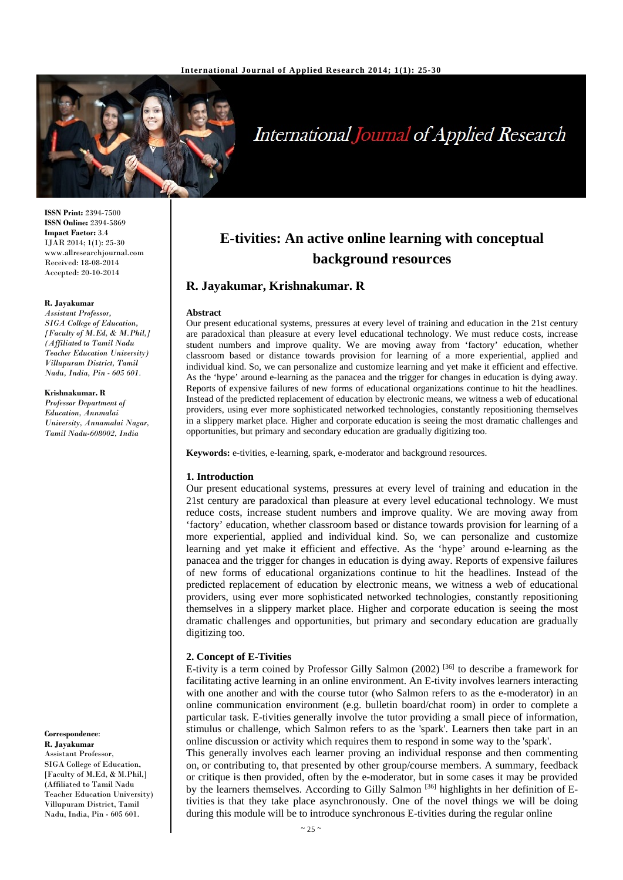

# International Journal of Applied Research

**ISSN Print:** 2394-7500 **ISSN Online:** 2394-5869 **Impact Factor:** 3.4 IJAR 2014; 1(1): 25-30 www.allresearchjournal.com Received: 18-08-2014 Accepted: 20-10-2014

#### **R. Jayakumar**

*Assistant Professor, SIGA College of Education, [Faculty of M.Ed, & M.Phil,] (Affiliated to Tamil Nadu Teacher Education University) Villupuram District, Tamil Nadu, India, Pin - 605 601.* 

#### **Krishnakumar. R**

*Professor Department of Education, Annmalai University, Annamalai Nagar, Tamil Nadu-608002, India*

# **Correspondence**:

**R. Jayakumar**  Assistant Professor, SIGA College of Education, [Faculty of M.Ed, & M.Phil,] (Affiliated to Tamil Nadu Teacher Education University) Villupuram District, Tamil Nadu, India, Pin - 605 601.

# **E-tivities: An active online learning with conceptual background resources**

# **R. Jayakumar, Krishnakumar. R**

#### **Abstract**

Our present educational systems, pressures at every level of training and education in the 21st century are paradoxical than pleasure at every level educational technology. We must reduce costs, increase student numbers and improve quality. We are moving away from 'factory' education, whether classroom based or distance towards provision for learning of a more experiential, applied and individual kind. So, we can personalize and customize learning and yet make it efficient and effective. As the 'hype' around e-learning as the panacea and the trigger for changes in education is dying away. Reports of expensive failures of new forms of educational organizations continue to hit the headlines. Instead of the predicted replacement of education by electronic means, we witness a web of educational providers, using ever more sophisticated networked technologies, constantly repositioning themselves in a slippery market place. Higher and corporate education is seeing the most dramatic challenges and opportunities, but primary and secondary education are gradually digitizing too.

**Keywords:** e-tivities, e-learning, spark, e-moderator and background resources.

#### **1. Introduction**

Our present educational systems, pressures at every level of training and education in the 21st century are paradoxical than pleasure at every level educational technology. We must reduce costs, increase student numbers and improve quality. We are moving away from 'factory' education, whether classroom based or distance towards provision for learning of a more experiential, applied and individual kind. So, we can personalize and customize learning and yet make it efficient and effective. As the 'hype' around e-learning as the panacea and the trigger for changes in education is dying away. Reports of expensive failures of new forms of educational organizations continue to hit the headlines. Instead of the predicted replacement of education by electronic means, we witness a web of educational providers, using ever more sophisticated networked technologies, constantly repositioning themselves in a slippery market place. Higher and corporate education is seeing the most dramatic challenges and opportunities, but primary and secondary education are gradually digitizing too.

#### **2. Concept of E-Tivities**

E-tivity is a term coined by Professor Gilly Salmon (2002)  $[36]$  to describe a framework for facilitating active learning in an online environment. An E-tivity involves learners interacting with one another and with the course tutor (who Salmon refers to as the e-moderator) in an online communication environment (e.g. bulletin board/chat room) in order to complete a particular task. E-tivities generally involve the tutor providing a small piece of information, stimulus or challenge, which Salmon refers to as the 'spark'. Learners then take part in an online discussion or activity which requires them to respond in some way to the 'spark'.

This generally involves each learner proving an individual response and then commenting on, or contributing to, that presented by other group/course members. A summary, feedback or critique is then provided, often by the e-moderator, but in some cases it may be provided by the learners themselves. According to Gilly Salmon [36] highlights in her definition of Etivities is that they take place asynchronously. One of the novel things we will be doing during this module will be to introduce synchronous E-tivities during the regular online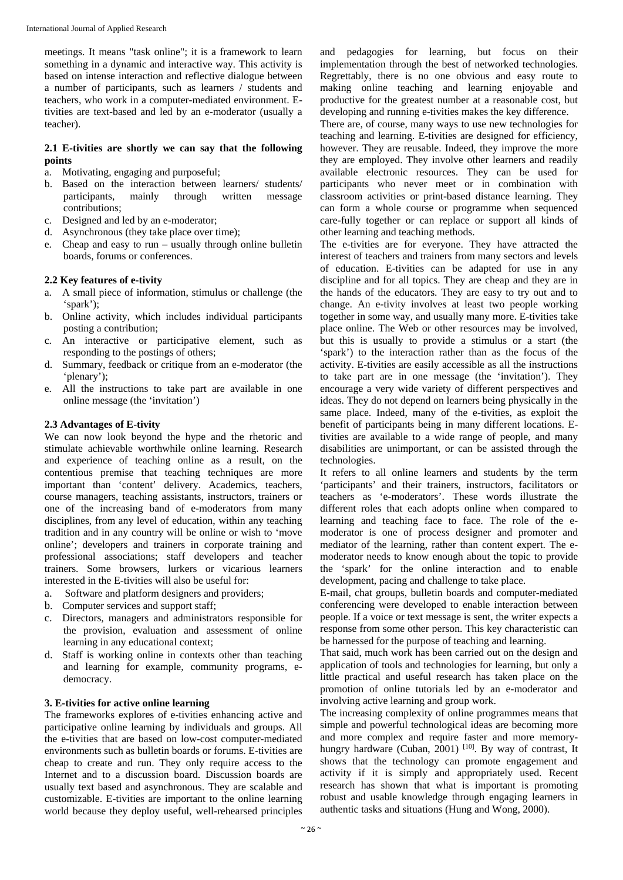meetings. It means "task online"; it is a framework to learn something in a dynamic and interactive way. This activity is based on intense interaction and reflective dialogue between a number of participants, such as learners / students and teachers, who work in a computer-mediated environment. Etivities are text-based and led by an e-moderator (usually a teacher).

# **2.1 E-tivities are shortly we can say that the following points**

- a. Motivating, engaging and purposeful;
- b. Based on the interaction between learners/ students/ participants, mainly through written message contributions;
- c. Designed and led by an e-moderator;
- d. Asynchronous (they take place over time);
- e. Cheap and easy to run usually through online bulletin boards, forums or conferences.

# **2.2 Key features of e-tivity**

- a. A small piece of information, stimulus or challenge (the 'spark');
- b. Online activity, which includes individual participants posting a contribution;
- c. An interactive or participative element, such as responding to the postings of others;
- d. Summary, feedback or critique from an e-moderator (the 'plenary');
- e. All the instructions to take part are available in one online message (the 'invitation')

# **2.3 Advantages of E-tivity**

We can now look beyond the hype and the rhetoric and stimulate achievable worthwhile online learning. Research and experience of teaching online as a result, on the contentious premise that teaching techniques are more important than 'content' delivery. Academics, teachers, course managers, teaching assistants, instructors, trainers or one of the increasing band of e-moderators from many disciplines, from any level of education, within any teaching tradition and in any country will be online or wish to 'move online'; developers and trainers in corporate training and professional associations; staff developers and teacher trainers. Some browsers, lurkers or vicarious learners interested in the E-tivities will also be useful for:

- a. Software and platform designers and providers;
- b. Computer services and support staff;
- c. Directors, managers and administrators responsible for the provision, evaluation and assessment of online learning in any educational context;
- d. Staff is working online in contexts other than teaching and learning for example, community programs, edemocracy.

# **3. E-tivities for active online learning**

The frameworks explores of e-tivities enhancing active and participative online learning by individuals and groups. All the e-tivities that are based on low-cost computer-mediated environments such as bulletin boards or forums. E-tivities are cheap to create and run. They only require access to the Internet and to a discussion board. Discussion boards are usually text based and asynchronous. They are scalable and customizable. E-tivities are important to the online learning world because they deploy useful, well-rehearsed principles

and pedagogies for learning, but focus on their implementation through the best of networked technologies. Regrettably, there is no one obvious and easy route to making online teaching and learning enjoyable and productive for the greatest number at a reasonable cost, but developing and running e-tivities makes the key difference.

There are, of course, many ways to use new technologies for teaching and learning. E-tivities are designed for efficiency, however. They are reusable. Indeed, they improve the more they are employed. They involve other learners and readily available electronic resources. They can be used for participants who never meet or in combination with classroom activities or print-based distance learning. They can form a whole course or programme when sequenced care-fully together or can replace or support all kinds of other learning and teaching methods.

The e-tivities are for everyone. They have attracted the interest of teachers and trainers from many sectors and levels of education. E-tivities can be adapted for use in any discipline and for all topics. They are cheap and they are in the hands of the educators. They are easy to try out and to change. An e-tivity involves at least two people working together in some way, and usually many more. E-tivities take place online. The Web or other resources may be involved, but this is usually to provide a stimulus or a start (the 'spark') to the interaction rather than as the focus of the activity. E-tivities are easily accessible as all the instructions to take part are in one message (the 'invitation'). They encourage a very wide variety of different perspectives and ideas. They do not depend on learners being physically in the same place. Indeed, many of the e-tivities, as exploit the benefit of participants being in many different locations. Etivities are available to a wide range of people, and many disabilities are unimportant, or can be assisted through the technologies.

It refers to all online learners and students by the term 'participants' and their trainers, instructors, facilitators or teachers as 'e-moderators'. These words illustrate the different roles that each adopts online when compared to learning and teaching face to face. The role of the emoderator is one of process designer and promoter and mediator of the learning, rather than content expert. The emoderator needs to know enough about the topic to provide the 'spark' for the online interaction and to enable development, pacing and challenge to take place.

E-mail, chat groups, bulletin boards and computer-mediated conferencing were developed to enable interaction between people. If a voice or text message is sent, the writer expects a response from some other person. This key characteristic can be harnessed for the purpose of teaching and learning.

That said, much work has been carried out on the design and application of tools and technologies for learning, but only a little practical and useful research has taken place on the promotion of online tutorials led by an e-moderator and involving active learning and group work.

The increasing complexity of online programmes means that simple and powerful technological ideas are becoming more and more complex and require faster and more memoryhungry hardware (Cuban, 2001)<sup>[10]</sup>. By way of contrast, It shows that the technology can promote engagement and activity if it is simply and appropriately used. Recent research has shown that what is important is promoting robust and usable knowledge through engaging learners in authentic tasks and situations (Hung and Wong, 2000).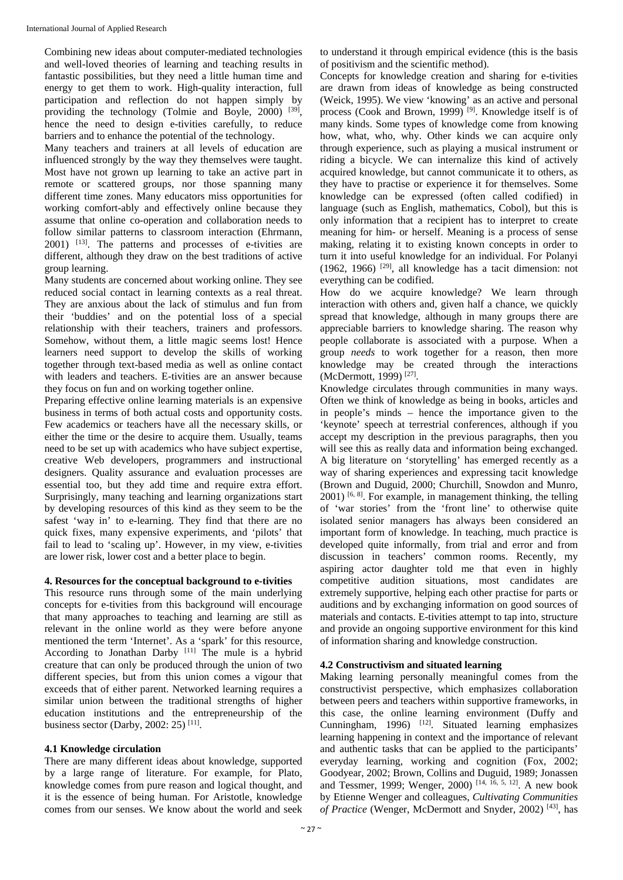Combining new ideas about computer-mediated technologies and well-loved theories of learning and teaching results in fantastic possibilities, but they need a little human time and energy to get them to work. High-quality interaction, full participation and reflection do not happen simply by providing the technology (Tolmie and Boyle, 2000) [39], hence the need to design e-tivities carefully, to reduce barriers and to enhance the potential of the technology.

Many teachers and trainers at all levels of education are influenced strongly by the way they themselves were taught. Most have not grown up learning to take an active part in remote or scattered groups, nor those spanning many different time zones. Many educators miss opportunities for working comfort-ably and effectively online because they assume that online co-operation and collaboration needs to follow similar patterns to classroom interaction (Ehrmann, 2001) [13]. The patterns and processes of e-tivities are different, although they draw on the best traditions of active group learning.

Many students are concerned about working online. They see reduced social contact in learning contexts as a real threat. They are anxious about the lack of stimulus and fun from their 'buddies' and on the potential loss of a special relationship with their teachers, trainers and professors. Somehow, without them, a little magic seems lost! Hence learners need support to develop the skills of working together through text-based media as well as online contact with leaders and teachers. E-tivities are an answer because they focus on fun and on working together online.

Preparing effective online learning materials is an expensive business in terms of both actual costs and opportunity costs. Few academics or teachers have all the necessary skills, or either the time or the desire to acquire them. Usually, teams need to be set up with academics who have subject expertise, creative Web developers, programmers and instructional designers. Quality assurance and evaluation processes are essential too, but they add time and require extra effort. Surprisingly, many teaching and learning organizations start by developing resources of this kind as they seem to be the safest 'way in' to e-learning. They find that there are no quick fixes, many expensive experiments, and 'pilots' that fail to lead to 'scaling up'. However, in my view, e-tivities are lower risk, lower cost and a better place to begin.

#### **4. Resources for the conceptual background to e-tivities**

This resource runs through some of the main underlying concepts for e-tivities from this background will encourage that many approaches to teaching and learning are still as relevant in the online world as they were before anyone mentioned the term 'Internet'. As a 'spark' for this resource, According to Jonathan Darby [11] The mule is a hybrid creature that can only be produced through the union of two different species, but from this union comes a vigour that exceeds that of either parent. Networked learning requires a similar union between the traditional strengths of higher education institutions and the entrepreneurship of the business sector (Darby, 2002: 25)<sup>[11]</sup>.

# **4.1 Knowledge circulation**

There are many different ideas about knowledge, supported by a large range of literature. For example, for Plato, knowledge comes from pure reason and logical thought, and it is the essence of being human. For Aristotle, knowledge comes from our senses. We know about the world and seek

to understand it through empirical evidence (this is the basis of positivism and the scientific method).

Concepts for knowledge creation and sharing for e-tivities are drawn from ideas of knowledge as being constructed (Weick, 1995). We view 'knowing' as an active and personal process (Cook and Brown, 1999) [9]. Knowledge itself is of many kinds. Some types of knowledge come from knowing how, what, who, why. Other kinds we can acquire only through experience, such as playing a musical instrument or riding a bicycle. We can internalize this kind of actively acquired knowledge, but cannot communicate it to others, as they have to practise or experience it for themselves. Some knowledge can be expressed (often called codified) in language (such as English, mathematics, Cobol), but this is only information that a recipient has to interpret to create meaning for him- or herself. Meaning is a process of sense making, relating it to existing known concepts in order to turn it into useful knowledge for an individual. For Polanyi (1962, 1966) <sup>[29]</sup>, all knowledge has a tacit dimension: not everything can be codified.

How do we acquire knowledge? We learn through interaction with others and, given half a chance, we quickly spread that knowledge, although in many groups there are appreciable barriers to knowledge sharing. The reason why people collaborate is associated with a purpose*.* When a group *needs* to work together for a reason, then more knowledge may be created through the interactions (McDermott, 1999) [27].

Knowledge circulates through communities in many ways. Often we think of knowledge as being in books, articles and in people's minds – hence the importance given to the 'keynote' speech at terrestrial conferences, although if you accept my description in the previous paragraphs, then you will see this as really data and information being exchanged. A big literature on 'storytelling' has emerged recently as a way of sharing experiences and expressing tacit knowledge (Brown and Duguid, 2000; Churchill, Snowdon and Munro, 2001) <sup>[6, 8]</sup>. For example, in management thinking, the telling of 'war stories' from the 'front line' to otherwise quite isolated senior managers has always been considered an important form of knowledge. In teaching, much practice is developed quite informally, from trial and error and from discussion in teachers' common rooms. Recently, my aspiring actor daughter told me that even in highly competitive audition situations, most candidates are extremely supportive, helping each other practise for parts or auditions and by exchanging information on good sources of materials and contacts. E-tivities attempt to tap into, structure and provide an ongoing supportive environment for this kind of information sharing and knowledge construction.

# **4.2 Constructivism and situated learning**

Making learning personally meaningful comes from the constructivist perspective, which emphasizes collaboration between peers and teachers within supportive frameworks, in this case, the online learning environment (Duffy and Cunningham, 1996) <sup>[12]</sup>. Situated learning emphasizes learning happening in context and the importance of relevant and authentic tasks that can be applied to the participants' everyday learning, working and cognition (Fox, 2002; Goodyear, 2002; Brown, Collins and Duguid, 1989; Jonassen and Tessmer, 1999; Wenger, 2000) [14, 16, 5, 12]. A new book by Etienne Wenger and colleagues, *Cultivating Communities of Practice* (Wenger, McDermott and Snyder, 2002) [43], has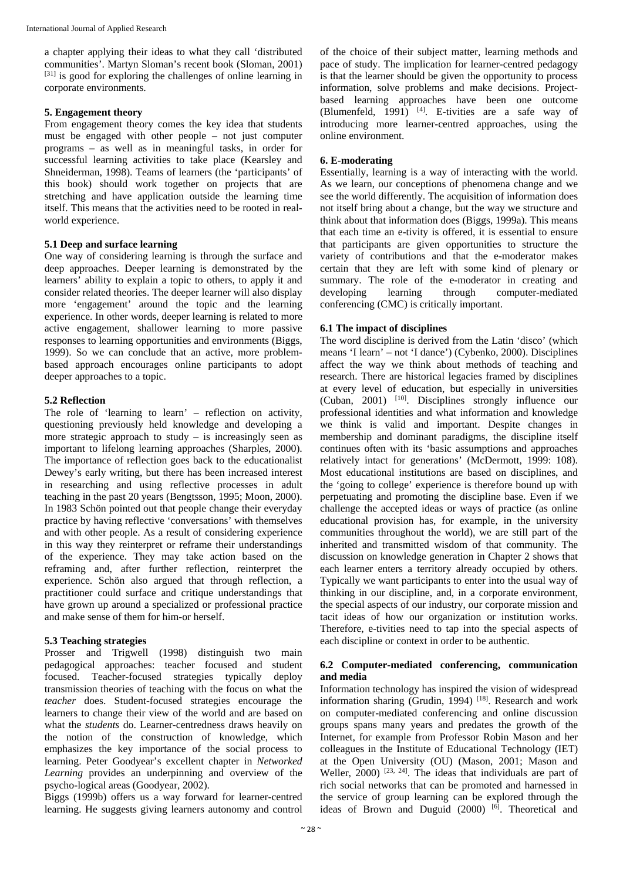a chapter applying their ideas to what they call 'distributed communities'. Martyn Sloman's recent book (Sloman, 2001)  $[31]$  is good for exploring the challenges of online learning in corporate environments.

#### **5. Engagement theory**

From engagement theory comes the key idea that students must be engaged with other people – not just computer programs – as well as in meaningful tasks, in order for successful learning activities to take place (Kearsley and Shneiderman, 1998). Teams of learners (the 'participants' of this book) should work together on projects that are stretching and have application outside the learning time itself. This means that the activities need to be rooted in realworld experience.

#### **5.1 Deep and surface learning**

One way of considering learning is through the surface and deep approaches. Deeper learning is demonstrated by the learners' ability to explain a topic to others, to apply it and consider related theories. The deeper learner will also display more 'engagement' around the topic and the learning experience. In other words, deeper learning is related to more active engagement, shallower learning to more passive responses to learning opportunities and environments (Biggs, 1999). So we can conclude that an active, more problembased approach encourages online participants to adopt deeper approaches to a topic.

#### **5.2 Reflection**

The role of 'learning to learn' – reflection on activity, questioning previously held knowledge and developing a more strategic approach to study  $-$  is increasingly seen as important to lifelong learning approaches (Sharples, 2000). The importance of reflection goes back to the educationalist Dewey's early writing, but there has been increased interest in researching and using reflective processes in adult teaching in the past 20 years (Bengtsson, 1995; Moon, 2000). In 1983 Schön pointed out that people change their everyday practice by having reflective 'conversations' with themselves and with other people. As a result of considering experience in this way they reinterpret or reframe their understandings of the experience. They may take action based on the reframing and, after further reflection, reinterpret the experience. Schön also argued that through reflection, a practitioner could surface and critique understandings that have grown up around a specialized or professional practice and make sense of them for him-or herself.

#### **5.3 Teaching strategies**

Prosser and Trigwell (1998) distinguish two main pedagogical approaches: teacher focused and student focused. Teacher-focused strategies typically deploy transmission theories of teaching with the focus on what the *teacher* does. Student-focused strategies encourage the learners to change their view of the world and are based on what the *students* do. Learner-centredness draws heavily on the notion of the construction of knowledge, which emphasizes the key importance of the social process to learning. Peter Goodyear's excellent chapter in *Networked Learning* provides an underpinning and overview of the psycho-logical areas (Goodyear, 2002).

Biggs (1999b) offers us a way forward for learner-centred learning. He suggests giving learners autonomy and control

of the choice of their subject matter, learning methods and pace of study. The implication for learner-centred pedagogy is that the learner should be given the opportunity to process information, solve problems and make decisions. Projectbased learning approaches have been one outcome (Blumenfeld, 1991)  $[4]$ . E-tivities are a safe way of introducing more learner-centred approaches, using the online environment.

#### **6. E-moderating**

Essentially, learning is a way of interacting with the world. As we learn, our conceptions of phenomena change and we see the world differently. The acquisition of information does not itself bring about a change, but the way we structure and think about that information does (Biggs, 1999a). This means that each time an e-tivity is offered, it is essential to ensure that participants are given opportunities to structure the variety of contributions and that the e-moderator makes certain that they are left with some kind of plenary or summary. The role of the e-moderator in creating and developing learning through computer-mediated conferencing (CMC) is critically important.

# **6.1 The impact of disciplines**

The word discipline is derived from the Latin 'disco' (which means 'I learn' – not 'I dance') (Cybenko, 2000). Disciplines affect the way we think about methods of teaching and research. There are historical legacies framed by disciplines at every level of education, but especially in universities (Cuban, 2001) [10]. Disciplines strongly influence our professional identities and what information and knowledge we think is valid and important. Despite changes in membership and dominant paradigms, the discipline itself continues often with its 'basic assumptions and approaches relatively intact for generations' (McDermott, 1999: 108). Most educational institutions are based on disciplines, and the 'going to college' experience is therefore bound up with perpetuating and promoting the discipline base. Even if we challenge the accepted ideas or ways of practice (as online educational provision has, for example, in the university communities throughout the world), we are still part of the inherited and transmitted wisdom of that community. The discussion on knowledge generation in Chapter 2 shows that each learner enters a territory already occupied by others. Typically we want participants to enter into the usual way of thinking in our discipline, and, in a corporate environment, the special aspects of our industry, our corporate mission and tacit ideas of how our organization or institution works. Therefore, e-tivities need to tap into the special aspects of each discipline or context in order to be authentic.

# **6.2 Computer-mediated conferencing, communication and media**

Information technology has inspired the vision of widespread information sharing (Grudin, 1994)<sup>[18]</sup>. Research and work on computer-mediated conferencing and online discussion groups spans many years and predates the growth of the Internet, for example from Professor Robin Mason and her colleagues in the Institute of Educational Technology (IET) at the Open University (OU) (Mason, 2001; Mason and Weller,  $2000$  <sup>[23, 24]</sup>. The ideas that individuals are part of rich social networks that can be promoted and harnessed in the service of group learning can be explored through the ideas of Brown and Duguid  $(2000)$  [6]. Theoretical and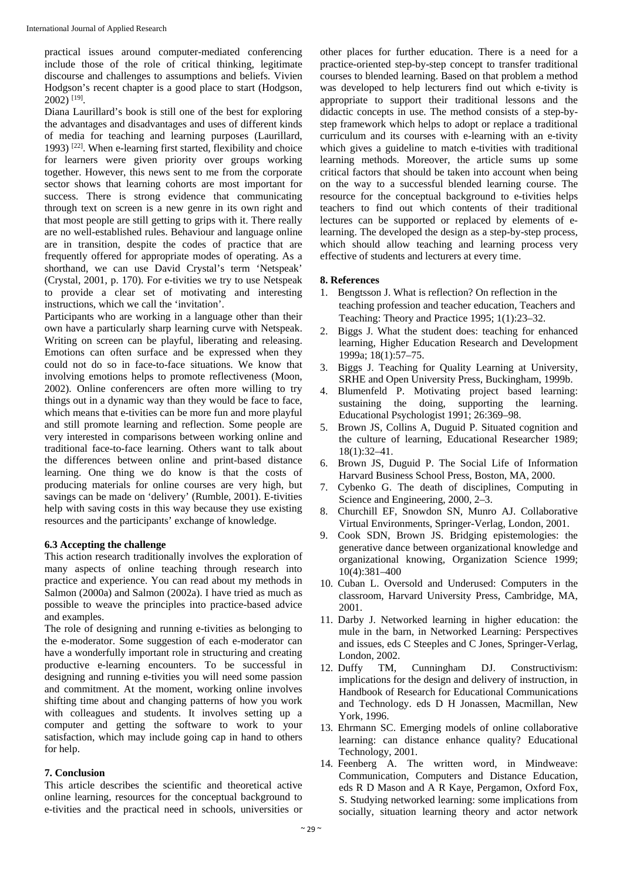practical issues around computer-mediated conferencing include those of the role of critical thinking, legitimate discourse and challenges to assumptions and beliefs. Vivien Hodgson's recent chapter is a good place to start (Hodgson, 2002) [19].

Diana Laurillard's book is still one of the best for exploring the advantages and disadvantages and uses of different kinds of media for teaching and learning purposes (Laurillard, 1993) [22]. When e-learning first started, flexibility and choice for learners were given priority over groups working together. However, this news sent to me from the corporate sector shows that learning cohorts are most important for success. There is strong evidence that communicating through text on screen is a new genre in its own right and that most people are still getting to grips with it. There really are no well-established rules. Behaviour and language online are in transition, despite the codes of practice that are frequently offered for appropriate modes of operating. As a shorthand, we can use David Crystal's term 'Netspeak' (Crystal, 2001, p. 170). For e-tivities we try to use Netspeak to provide a clear set of motivating and interesting instructions, which we call the 'invitation'.

Participants who are working in a language other than their own have a particularly sharp learning curve with Netspeak. Writing on screen can be playful, liberating and releasing. Emotions can often surface and be expressed when they could not do so in face-to-face situations. We know that involving emotions helps to promote reflectiveness (Moon, 2002). Online conferencers are often more willing to try things out in a dynamic way than they would be face to face, which means that e-tivities can be more fun and more playful and still promote learning and reflection. Some people are very interested in comparisons between working online and traditional face-to-face learning. Others want to talk about the differences between online and print-based distance learning. One thing we do know is that the costs of producing materials for online courses are very high, but savings can be made on 'delivery' (Rumble, 2001). E-tivities help with saving costs in this way because they use existing resources and the participants' exchange of knowledge.

# **6.3 Accepting the challenge**

This action research traditionally involves the exploration of many aspects of online teaching through research into practice and experience. You can read about my methods in Salmon (2000a) and Salmon (2002a). I have tried as much as possible to weave the principles into practice-based advice and examples.

The role of designing and running e-tivities as belonging to the e-moderator. Some suggestion of each e-moderator can have a wonderfully important role in structuring and creating productive e-learning encounters. To be successful in designing and running e-tivities you will need some passion and commitment. At the moment, working online involves shifting time about and changing patterns of how you work with colleagues and students. It involves setting up a computer and getting the software to work to your satisfaction, which may include going cap in hand to others for help.

# **7. Conclusion**

This article describes the scientific and theoretical active online learning, resources for the conceptual background to e-tivities and the practical need in schools, universities or other places for further education. There is a need for a practice-oriented step-by-step concept to transfer traditional courses to blended learning. Based on that problem a method was developed to help lecturers find out which e-tivity is appropriate to support their traditional lessons and the didactic concepts in use. The method consists of a step-bystep framework which helps to adopt or replace a traditional curriculum and its courses with e-learning with an e-tivity which gives a guideline to match e-tivities with traditional learning methods. Moreover, the article sums up some critical factors that should be taken into account when being on the way to a successful blended learning course. The resource for the conceptual background to e-tivities helps teachers to find out which contents of their traditional lectures can be supported or replaced by elements of elearning. The developed the design as a step-by-step process, which should allow teaching and learning process very effective of students and lecturers at every time.

#### **8. References**

- 1. Bengtsson J. What is reflection? On reflection in the teaching profession and teacher education, Teachers and Teaching: Theory and Practice 1995; 1(1):23–32.
- 2. Biggs J. What the student does: teaching for enhanced learning, Higher Education Research and Development 1999a; 18(1):57–75.
- 3. Biggs J. Teaching for Quality Learning at University, SRHE and Open University Press, Buckingham, 1999b.
- 4. Blumenfeld P. Motivating project based learning: sustaining the doing, supporting the learning. Educational Psychologist 1991; 26:369–98.
- 5. Brown JS, Collins A, Duguid P. Situated cognition and the culture of learning, Educational Researcher 1989; 18(1):32–41.
- 6. Brown JS, Duguid P. The Social Life of Information Harvard Business School Press, Boston, MA, 2000.
- 7. Cybenko G. The death of disciplines, Computing in Science and Engineering, 2000, 2–3.
- 8. Churchill EF, Snowdon SN, Munro AJ. Collaborative Virtual Environments, Springer-Verlag, London, 2001.
- 9. Cook SDN, Brown JS. Bridging epistemologies: the generative dance between organizational knowledge and organizational knowing, Organization Science 1999; 10(4):381–400
- 10. Cuban L. Oversold and Underused: Computers in the classroom, Harvard University Press, Cambridge, MA, 2001.
- 11. Darby J. Networked learning in higher education: the mule in the barn, in Networked Learning: Perspectives and issues, eds C Steeples and C Jones, Springer-Verlag, London, 2002.
- 12. Duffy TM, Cunningham DJ. Constructivism: implications for the design and delivery of instruction, in Handbook of Research for Educational Communications and Technology. eds D H Jonassen, Macmillan, New York, 1996.
- 13. Ehrmann SC. Emerging models of online collaborative learning: can distance enhance quality? Educational Technology, 2001.
- 14. Feenberg A. The written word, in Mindweave: Communication, Computers and Distance Education, eds R D Mason and A R Kaye, Pergamon, Oxford Fox, S. Studying networked learning: some implications from socially, situation learning theory and actor network